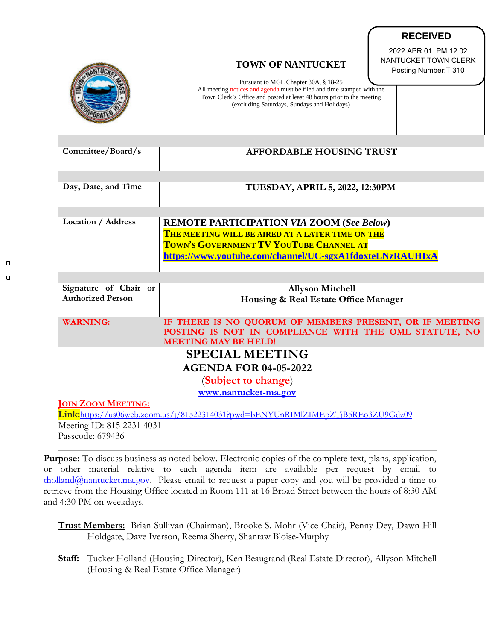|                                                                                                              | <b>TOWN OF NANTUCKET</b><br>Pursuant to MGL Chapter 30A, § 18-25<br>All meeting notices and agenda must be filed and time stamped with the<br>Town Clerk's Office and posted at least 48 hours prior to the meeting<br>(excluding Saturdays, Sundays and Holidays) | 2022 APR 01 PM 12:02<br>NANTUCKET TOWN CLERK<br>Posting Number: T 310 |
|--------------------------------------------------------------------------------------------------------------|--------------------------------------------------------------------------------------------------------------------------------------------------------------------------------------------------------------------------------------------------------------------|-----------------------------------------------------------------------|
| Committee/Board/s                                                                                            | <b>AFFORDABLE HOUSING TRUST</b>                                                                                                                                                                                                                                    |                                                                       |
| Day, Date, and Time                                                                                          | TUESDAY, APRIL 5, 2022, 12:30PM                                                                                                                                                                                                                                    |                                                                       |
| <b>Location / Address</b>                                                                                    | <b>REMOTE PARTICIPATION VIA ZOOM (See Below)</b><br>THE MEETING WILL BE AIRED AT A LATER TIME ON THE<br>TOWN'S GOVERNMENT TV YOUTUBE CHANNEL AT<br>https://www.youtube.com/channel/UC-sgxA1fdoxteLNzRAUHIxA                                                        |                                                                       |
| Signature of Chair or<br><b>Authorized Person</b>                                                            | <b>Allyson Mitchell</b><br>Housing & Real Estate Office Manager                                                                                                                                                                                                    |                                                                       |
| <b>WARNING:</b>                                                                                              | IF THERE IS NO QUORUM OF MEMBERS PRESENT, OR IF MEETING<br>POSTING IS NOT IN COMPLIANCE WITH THE OML STATUTE, NO<br><b>MEETING MAY BE HELD!</b>                                                                                                                    |                                                                       |
| <b>SPECIAL MEETING</b>                                                                                       |                                                                                                                                                                                                                                                                    |                                                                       |
| <b>AGENDA FOR 04-05-2022</b>                                                                                 |                                                                                                                                                                                                                                                                    |                                                                       |
| (Subject to change)                                                                                          |                                                                                                                                                                                                                                                                    |                                                                       |
| www.nantucket-ma.gov                                                                                         |                                                                                                                                                                                                                                                                    |                                                                       |
| <b>JOIN ZOOM MEETING:</b><br>Link:https://us06web.zoom.us/j/81522314031?pwd=bENYUnRIMIZIMEpZTjB5REo3ZU9Gdz09 |                                                                                                                                                                                                                                                                    |                                                                       |
| Meeting ID: 815 2231 4031                                                                                    |                                                                                                                                                                                                                                                                    |                                                                       |

**RECEIVED**

Passcode: 679436

 $\Box$  $\Box$ 

> **Purpose:** To discuss business as noted below. Electronic copies of the complete text, plans, application, or other material relative to each agenda item are available per request by email to [tholland@nantucket.ma.gov.](mailto:tholland@nantucket.ma.gov) Please email to request a paper copy and you will be provided a time to retrieve from the Housing Office located in Room 111 at 16 Broad Street between the hours of 8:30 AM and 4:30 PM on weekdays.

- **Trust Members:** Brian Sullivan (Chairman), Brooke S. Mohr (Vice Chair), Penny Dey, Dawn Hill Holdgate, Dave Iverson, Reema Sherry, Shantaw Bloise-Murphy
- **Staff:** Tucker Holland (Housing Director), Ken Beaugrand (Real Estate Director), Allyson Mitchell (Housing & Real Estate Office Manager)